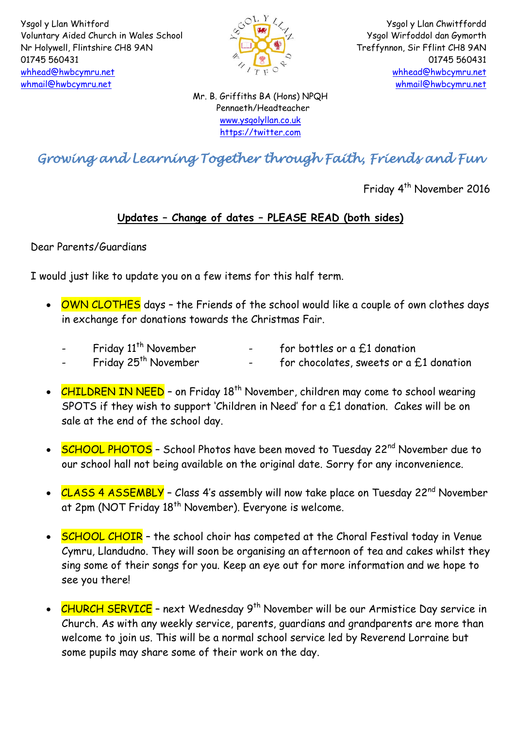

Ysgol y Llan Chwitffordd Ysgol Wirfoddol dan Gymorth Treffynnon, Sir Fflint CH8 9AN 01745 560431 [whhead@hwbcymru.net](mailto:Head.WhitfordCP@flintshire.gov.uk) [whmail@hwbcymru.net](mailto:whmail@hwbcymru.net)

Mr. B. Griffiths BA (Hons) NPQH Pennaeth/Headteacher [www.ysgolyllan.co.uk](http://www.ysgolyllan.co.uk/) [https://twitter.com](https://twitter.com/)

## *Growing and Learning Together through Faith, Friends and Fun*

Friday 4<sup>th</sup> November 2016

## **Updates – Change of dates – PLEASE READ (both sides)**

Dear Parents/Guardians

I would just like to update you on a few items for this half term.

- OWN CLOTHES days the Friends of the school would like a couple of own clothes days in exchange for donations towards the Christmas Fair.
	- Friday  $11^{th}$  November for bottles or a £1 donation<br>Friday  $25^{th}$  November for chocolates, sweets or a f
	- $-$  for chocolates, sweets or a  $£1$  donation
- CHILDREN IN NEED on Friday 18<sup>th</sup> November, children may come to school wearing SPOTS if they wish to support 'Children in Need' for a £1 donation. Cakes will be on sale at the end of the school day.
- SCHOOL PHOTOS School Photos have been moved to Tuesday 22<sup>nd</sup> November due to our school hall not being available on the original date. Sorry for any inconvenience.
- CLASS 4 ASSEMBLY Class 4's assembly will now take place on Tuesday 22<sup>nd</sup> November at 2pm (NOT Friday 18<sup>th</sup> November). Everyone is welcome.
- SCHOOL CHOIR the school choir has competed at the Choral Festival today in Venue Cymru, Llandudno. They will soon be organising an afternoon of tea and cakes whilst they sing some of their songs for you. Keep an eye out for more information and we hope to see you there!
- CHURCH SERVICE next Wednesday 9<sup>th</sup> November will be our Armistice Day service in Church. As with any weekly service, parents, guardians and grandparents are more than welcome to join us. This will be a normal school service led by Reverend Lorraine but some pupils may share some of their work on the day.